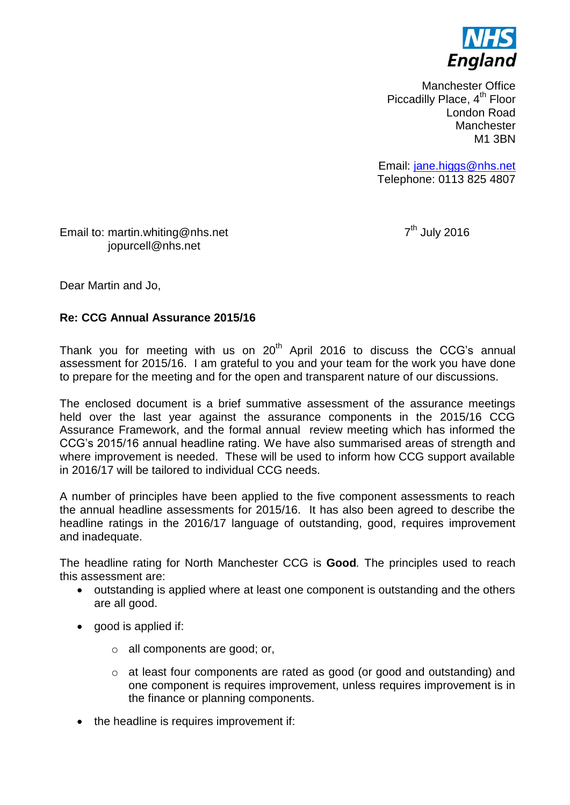

Manchester Office Piccadilly Place, 4<sup>th</sup> Floor London Road **Manchester** M1 3BN

Email: [jane.higgs@nhs.net](mailto:jane.higgs@nhs.net) Telephone: 0113 825 4807

Email to: martin.whiting@nhs.net 7 jopurcell@nhs.net

 $7<sup>th</sup>$  July 2016

Dear Martin and Jo,

### **Re: CCG Annual Assurance 2015/16**

Thank you for meeting with us on  $20<sup>th</sup>$  April 2016 to discuss the CCG's annual assessment for 2015/16. I am grateful to you and your team for the work you have done to prepare for the meeting and for the open and transparent nature of our discussions.

The enclosed document is a brief summative assessment of the assurance meetings held over the last year against the assurance components in the 2015/16 CCG Assurance Framework, and the formal annual review meeting which has informed the CCG's 2015/16 annual headline rating. We have also summarised areas of strength and where improvement is needed. These will be used to inform how CCG support available in 2016/17 will be tailored to individual CCG needs.

A number of principles have been applied to the five component assessments to reach the annual headline assessments for 2015/16. It has also been agreed to describe the headline ratings in the 2016/17 language of outstanding, good, requires improvement and inadequate.

The headline rating for North Manchester CCG is **Good***.* The principles used to reach this assessment are:

- outstanding is applied where at least one component is outstanding and the others are all good.
- good is applied if:
	- o all components are good; or,
	- o at least four components are rated as good (or good and outstanding) and one component is requires improvement, unless requires improvement is in the finance or planning components.
- the headline is requires improvement if: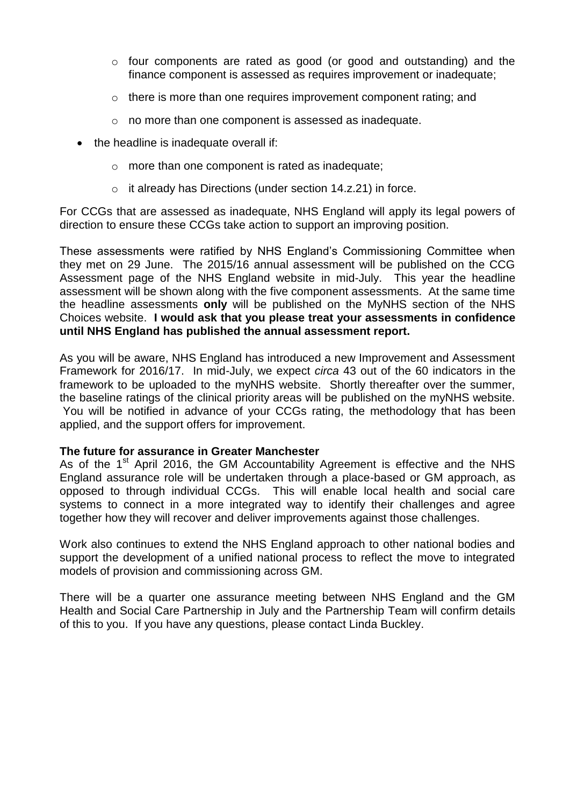- $\circ$  four components are rated as good (or good and outstanding) and the finance component is assessed as requires improvement or inadequate;
- o there is more than one requires improvement component rating; and
- o no more than one component is assessed as inadequate.
- the headline is inadequate overall if:
	- o more than one component is rated as inadequate;
	- o it already has Directions (under section 14.z.21) in force.

For CCGs that are assessed as inadequate, NHS England will apply its legal powers of direction to ensure these CCGs take action to support an improving position.

These assessments were ratified by NHS England's Commissioning Committee when they met on 29 June. The 2015/16 annual assessment will be published on the CCG Assessment page of the NHS England website in mid-July. This year the headline assessment will be shown along with the five component assessments. At the same time the headline assessments **only** will be published on the MyNHS section of the NHS Choices website. **I would ask that you please treat your assessments in confidence until NHS England has published the annual assessment report.**

As you will be aware, NHS England has introduced a new Improvement and Assessment Framework for 2016/17. In mid-July, we expect *circa* 43 out of the 60 indicators in the framework to be uploaded to the myNHS website. Shortly thereafter over the summer, the baseline ratings of the clinical priority areas will be published on the myNHS website. You will be notified in advance of your CCGs rating, the methodology that has been applied, and the support offers for improvement.

### **The future for assurance in Greater Manchester**

As of the  $1<sup>st</sup>$  April 2016, the GM Accountability Agreement is effective and the NHS England assurance role will be undertaken through a place-based or GM approach, as opposed to through individual CCGs. This will enable local health and social care systems to connect in a more integrated way to identify their challenges and agree together how they will recover and deliver improvements against those challenges.

Work also continues to extend the NHS England approach to other national bodies and support the development of a unified national process to reflect the move to integrated models of provision and commissioning across GM.

There will be a quarter one assurance meeting between NHS England and the GM Health and Social Care Partnership in July and the Partnership Team will confirm details of this to you. If you have any questions, please contact Linda Buckley.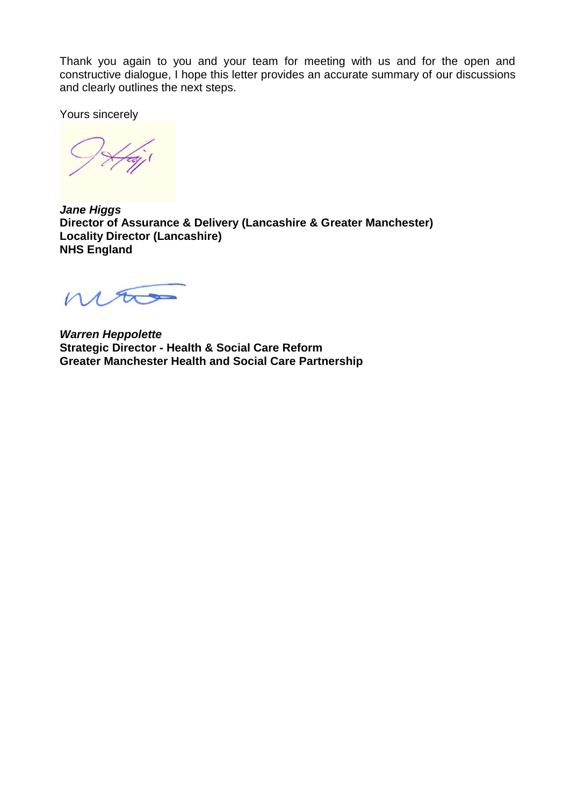Thank you again to you and your team for meeting with us and for the open and constructive dialogue, I hope this letter provides an accurate summary of our discussions and clearly outlines the next steps.

Yours sincerely

*Jane Higgs* **Director of Assurance & Delivery (Lancashire & Greater Manchester) Locality Director (Lancashire) NHS England**

mão

*Warren Heppolette* **Strategic Director - Health & Social Care Reform Greater Manchester Health and Social Care Partnership**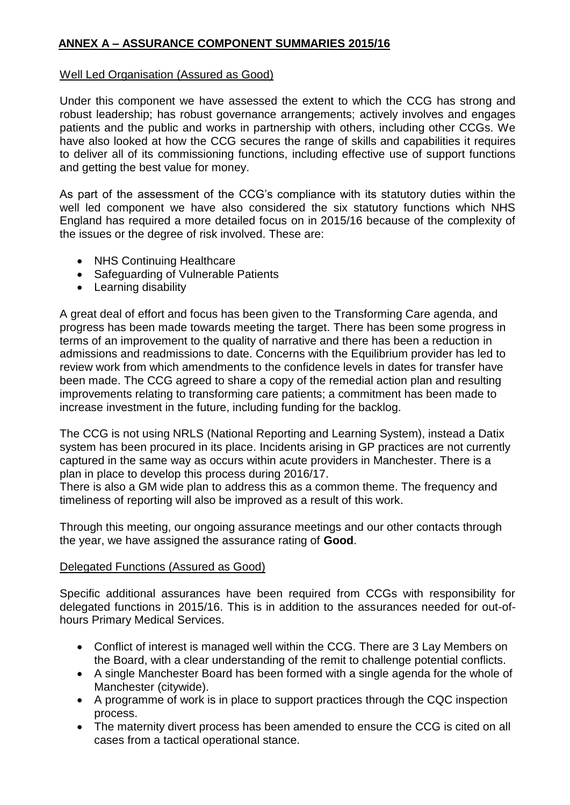# **ANNEX A – ASSURANCE COMPONENT SUMMARIES 2015/16**

## Well Led Organisation (Assured as Good)

Under this component we have assessed the extent to which the CCG has strong and robust leadership; has robust governance arrangements; actively involves and engages patients and the public and works in partnership with others, including other CCGs. We have also looked at how the CCG secures the range of skills and capabilities it requires to deliver all of its commissioning functions, including effective use of support functions and getting the best value for money.

As part of the assessment of the CCG's compliance with its statutory duties within the well led component we have also considered the six statutory functions which NHS England has required a more detailed focus on in 2015/16 because of the complexity of the issues or the degree of risk involved. These are:

- NHS Continuing Healthcare
- Safeguarding of Vulnerable Patients
- Learning disability

A great deal of effort and focus has been given to the Transforming Care agenda, and progress has been made towards meeting the target. There has been some progress in terms of an improvement to the quality of narrative and there has been a reduction in admissions and readmissions to date. Concerns with the Equilibrium provider has led to review work from which amendments to the confidence levels in dates for transfer have been made. The CCG agreed to share a copy of the remedial action plan and resulting improvements relating to transforming care patients; a commitment has been made to increase investment in the future, including funding for the backlog.

The CCG is not using NRLS (National Reporting and Learning System), instead a Datix system has been procured in its place. Incidents arising in GP practices are not currently captured in the same way as occurs within acute providers in Manchester. There is a plan in place to develop this process during 2016/17.

There is also a GM wide plan to address this as a common theme. The frequency and timeliness of reporting will also be improved as a result of this work.

Through this meeting, our ongoing assurance meetings and our other contacts through the year, we have assigned the assurance rating of **Good**.

# Delegated Functions (Assured as Good)

Specific additional assurances have been required from CCGs with responsibility for delegated functions in 2015/16. This is in addition to the assurances needed for out-ofhours Primary Medical Services.

- Conflict of interest is managed well within the CCG. There are 3 Lay Members on the Board, with a clear understanding of the remit to challenge potential conflicts.
- A single Manchester Board has been formed with a single agenda for the whole of Manchester (citywide).
- A programme of work is in place to support practices through the CQC inspection process.
- The maternity divert process has been amended to ensure the CCG is cited on all cases from a tactical operational stance.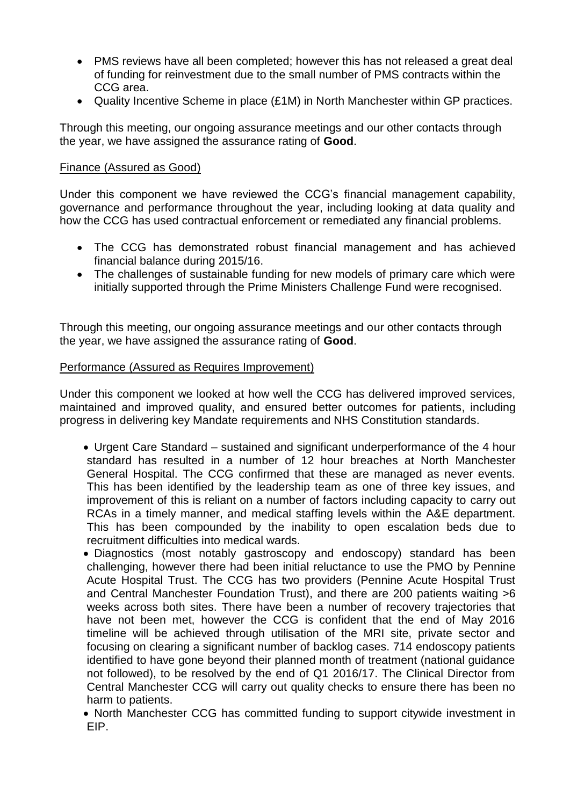- PMS reviews have all been completed; however this has not released a great deal of funding for reinvestment due to the small number of PMS contracts within the CCG area.
- Quality Incentive Scheme in place (£1M) in North Manchester within GP practices.

Through this meeting, our ongoing assurance meetings and our other contacts through the year, we have assigned the assurance rating of **Good**.

## Finance (Assured as Good)

Under this component we have reviewed the CCG's financial management capability, governance and performance throughout the year, including looking at data quality and how the CCG has used contractual enforcement or remediated any financial problems.

- The CCG has demonstrated robust financial management and has achieved financial balance during 2015/16.
- The challenges of sustainable funding for new models of primary care which were initially supported through the Prime Ministers Challenge Fund were recognised.

Through this meeting, our ongoing assurance meetings and our other contacts through the year, we have assigned the assurance rating of **Good**.

### Performance (Assured as Requires Improvement)

Under this component we looked at how well the CCG has delivered improved services, maintained and improved quality, and ensured better outcomes for patients, including progress in delivering key Mandate requirements and NHS Constitution standards.

• Urgent Care Standard – sustained and significant underperformance of the 4 hour standard has resulted in a number of 12 hour breaches at North Manchester General Hospital. The CCG confirmed that these are managed as never events. This has been identified by the leadership team as one of three key issues, and improvement of this is reliant on a number of factors including capacity to carry out RCAs in a timely manner, and medical staffing levels within the A&E department. This has been compounded by the inability to open escalation beds due to recruitment difficulties into medical wards.

 Diagnostics (most notably gastroscopy and endoscopy) standard has been challenging, however there had been initial reluctance to use the PMO by Pennine Acute Hospital Trust. The CCG has two providers (Pennine Acute Hospital Trust and Central Manchester Foundation Trust), and there are 200 patients waiting >6 weeks across both sites. There have been a number of recovery trajectories that have not been met, however the CCG is confident that the end of May 2016 timeline will be achieved through utilisation of the MRI site, private sector and focusing on clearing a significant number of backlog cases. 714 endoscopy patients identified to have gone beyond their planned month of treatment (national guidance not followed), to be resolved by the end of Q1 2016/17. The Clinical Director from Central Manchester CCG will carry out quality checks to ensure there has been no harm to patients.

• North Manchester CCG has committed funding to support citywide investment in EIP.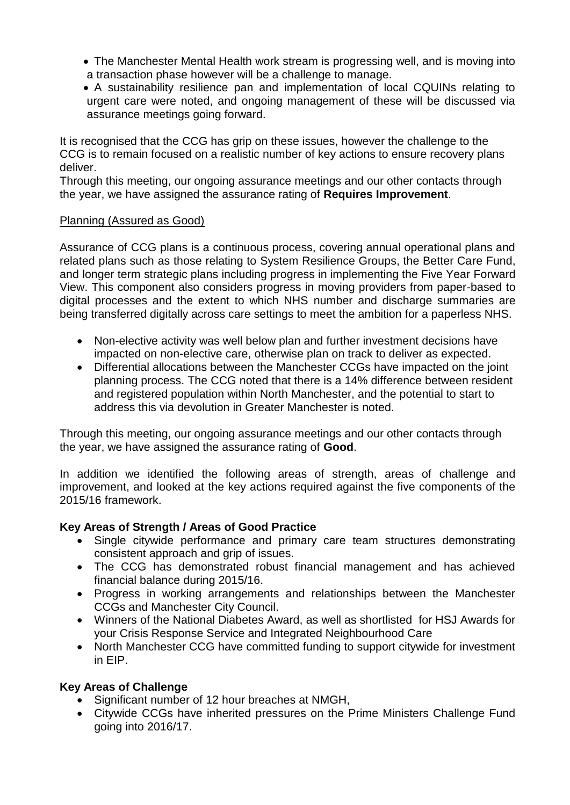- The Manchester Mental Health work stream is progressing well, and is moving into a transaction phase however will be a challenge to manage.
- A sustainability resilience pan and implementation of local CQUINs relating to urgent care were noted, and ongoing management of these will be discussed via assurance meetings going forward.

It is recognised that the CCG has grip on these issues, however the challenge to the CCG is to remain focused on a realistic number of key actions to ensure recovery plans deliver.

Through this meeting, our ongoing assurance meetings and our other contacts through the year, we have assigned the assurance rating of **Requires Improvement**.

### Planning (Assured as Good)

Assurance of CCG plans is a continuous process, covering annual operational plans and related plans such as those relating to System Resilience Groups, the Better Care Fund, and longer term strategic plans including progress in implementing the Five Year Forward View. This component also considers progress in moving providers from paper-based to digital processes and the extent to which NHS number and discharge summaries are being transferred digitally across care settings to meet the ambition for a paperless NHS.

- Non-elective activity was well below plan and further investment decisions have impacted on non-elective care, otherwise plan on track to deliver as expected.
- Differential allocations between the Manchester CCGs have impacted on the joint planning process. The CCG noted that there is a 14% difference between resident and registered population within North Manchester, and the potential to start to address this via devolution in Greater Manchester is noted.

Through this meeting, our ongoing assurance meetings and our other contacts through the year, we have assigned the assurance rating of **Good**.

In addition we identified the following areas of strength, areas of challenge and improvement, and looked at the key actions required against the five components of the 2015/16 framework.

# **Key Areas of Strength / Areas of Good Practice**

- Single citywide performance and primary care team structures demonstrating consistent approach and grip of issues.
- The CCG has demonstrated robust financial management and has achieved financial balance during 2015/16.
- Progress in working arrangements and relationships between the Manchester CCGs and Manchester City Council.
- Winners of the National Diabetes Award, as well as shortlisted for HSJ Awards for your Crisis Response Service and Integrated Neighbourhood Care
- North Manchester CCG have committed funding to support citywide for investment in EIP.

# **Key Areas of Challenge**

- Significant number of 12 hour breaches at NMGH,
- Citywide CCGs have inherited pressures on the Prime Ministers Challenge Fund going into 2016/17.